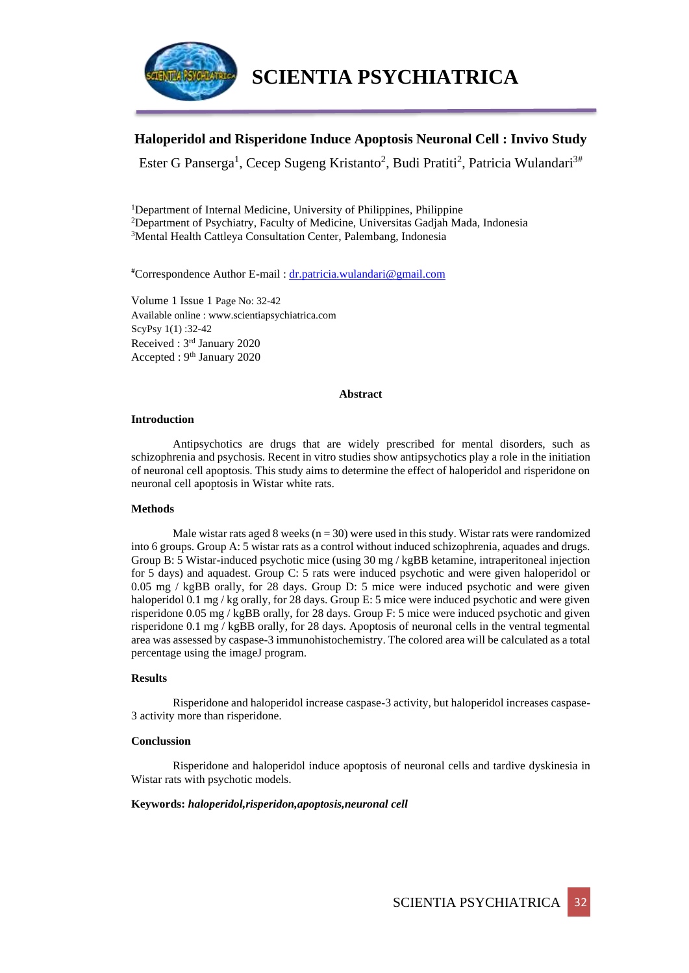

## **Haloperidol and Risperidone Induce Apoptosis Neuronal Cell : Invivo Study**

Ester G Panserga<sup>1</sup>, Cecep Sugeng Kristanto<sup>2</sup>, Budi Pratiti<sup>2</sup>, Patricia Wulandari<sup>3#</sup>

<sup>1</sup>Department of Internal Medicine, University of Philippines, Philippine <sup>2</sup>Department of Psychiatry, Faculty of Medicine, Universitas Gadjah Mada, Indonesia <sup>3</sup>Mental Health Cattleya Consultation Center, Palembang, Indonesia

#Correspondence Author E-mail : [dr.patricia.wulandari@gmail.com](mailto:dr.patricia.wulandari@gmail.com)

Volume 1 Issue 1 Page No: 32-42 Available online : www.scientiapsychiatrica.com ScyPsy 1(1) :32-42 Received : 3rd January 2020 Accepted : 9th January 2020

#### **Abstract**

#### **Introduction**

Antipsychotics are drugs that are widely prescribed for mental disorders, such as schizophrenia and psychosis. Recent in vitro studies show antipsychotics play a role in the initiation of neuronal cell apoptosis. This study aims to determine the effect of haloperidol and risperidone on neuronal cell apoptosis in Wistar white rats.

### **Methods**

Male wistar rats aged 8 weeks ( $n = 30$ ) were used in this study. Wistar rats were randomized into 6 groups. Group A: 5 wistar rats as a control without induced schizophrenia, aquades and drugs. Group B: 5 Wistar-induced psychotic mice (using 30 mg / kgBB ketamine, intraperitoneal injection for 5 days) and aquadest. Group C: 5 rats were induced psychotic and were given haloperidol or 0.05 mg / kgBB orally, for 28 days. Group D: 5 mice were induced psychotic and were given haloperidol 0.1 mg / kg orally, for 28 days. Group E: 5 mice were induced psychotic and were given risperidone 0.05 mg / kgBB orally, for 28 days. Group F: 5 mice were induced psychotic and given risperidone 0.1 mg / kgBB orally, for 28 days. Apoptosis of neuronal cells in the ventral tegmental area was assessed by caspase-3 immunohistochemistry. The colored area will be calculated as a total percentage using the imageJ program.

### **Results**

Risperidone and haloperidol increase caspase-3 activity, but haloperidol increases caspase-3 activity more than risperidone.

#### **Conclussion**

Risperidone and haloperidol induce apoptosis of neuronal cells and tardive dyskinesia in Wistar rats with psychotic models.

#### **Keywords:** *haloperidol,risperidon,apoptosis,neuronal cell*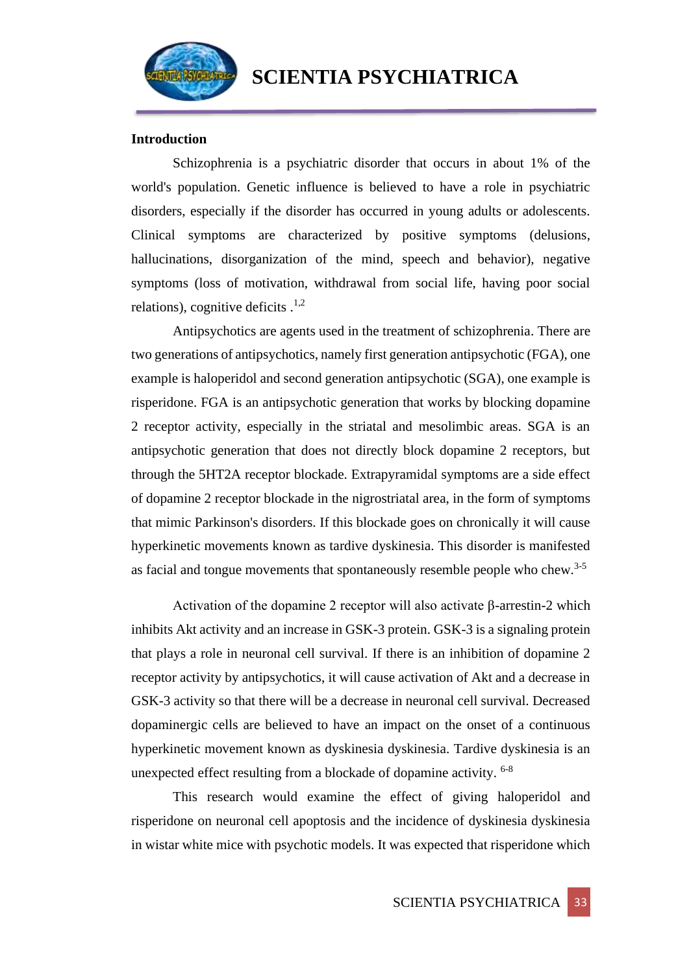

## **Introduction**

Schizophrenia is a psychiatric disorder that occurs in about 1% of the world's population. Genetic influence is believed to have a role in psychiatric disorders, especially if the disorder has occurred in young adults or adolescents. Clinical symptoms are characterized by positive symptoms (delusions, hallucinations, disorganization of the mind, speech and behavior), negative symptoms (loss of motivation, withdrawal from social life, having poor social relations), cognitive deficits  $^{1,2}$ 

Antipsychotics are agents used in the treatment of schizophrenia. There are two generations of antipsychotics, namely first generation antipsychotic (FGA), one example is haloperidol and second generation antipsychotic (SGA), one example is risperidone. FGA is an antipsychotic generation that works by blocking dopamine 2 receptor activity, especially in the striatal and mesolimbic areas. SGA is an antipsychotic generation that does not directly block dopamine 2 receptors, but through the 5HT2A receptor blockade. Extrapyramidal symptoms are a side effect of dopamine 2 receptor blockade in the nigrostriatal area, in the form of symptoms that mimic Parkinson's disorders. If this blockade goes on chronically it will cause hyperkinetic movements known as tardive dyskinesia. This disorder is manifested as facial and tongue movements that spontaneously resemble people who chew.<sup>3-5</sup>

Activation of the dopamine 2 receptor will also activate β-arrestin-2 which inhibits Akt activity and an increase in GSK-3 protein. GSK-3 is a signaling protein that plays a role in neuronal cell survival. If there is an inhibition of dopamine 2 receptor activity by antipsychotics, it will cause activation of Akt and a decrease in GSK-3 activity so that there will be a decrease in neuronal cell survival. Decreased dopaminergic cells are believed to have an impact on the onset of a continuous hyperkinetic movement known as dyskinesia dyskinesia. Tardive dyskinesia is an unexpected effect resulting from a blockade of dopamine activity. <sup>6-8</sup>

This research would examine the effect of giving haloperidol and risperidone on neuronal cell apoptosis and the incidence of dyskinesia dyskinesia in wistar white mice with psychotic models. It was expected that risperidone which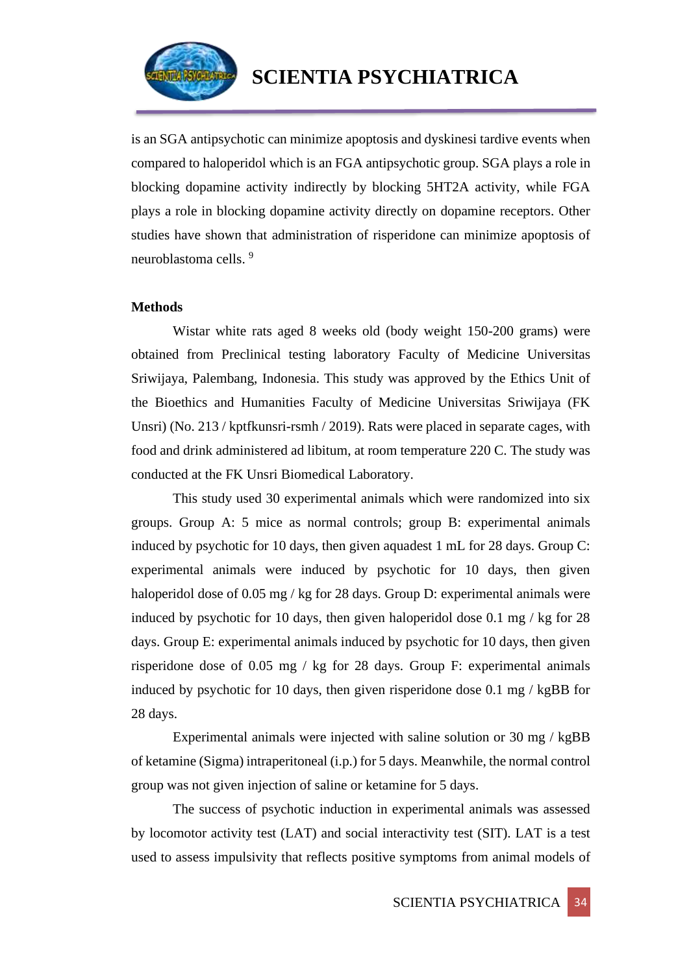

is an SGA antipsychotic can minimize apoptosis and dyskinesi tardive events when compared to haloperidol which is an FGA antipsychotic group. SGA plays a role in blocking dopamine activity indirectly by blocking 5HT2A activity, while FGA plays a role in blocking dopamine activity directly on dopamine receptors. Other studies have shown that administration of risperidone can minimize apoptosis of neuroblastoma cells.<sup>9</sup>

## **Methods**

Wistar white rats aged 8 weeks old (body weight 150-200 grams) were obtained from Preclinical testing laboratory Faculty of Medicine Universitas Sriwijaya, Palembang, Indonesia. This study was approved by the Ethics Unit of the Bioethics and Humanities Faculty of Medicine Universitas Sriwijaya (FK Unsri) (No. 213 / kptfkunsri-rsmh / 2019). Rats were placed in separate cages, with food and drink administered ad libitum, at room temperature 220 C. The study was conducted at the FK Unsri Biomedical Laboratory.

This study used 30 experimental animals which were randomized into six groups. Group A: 5 mice as normal controls; group B: experimental animals induced by psychotic for 10 days, then given aquadest 1 mL for 28 days. Group C: experimental animals were induced by psychotic for 10 days, then given haloperidol dose of 0.05 mg / kg for 28 days. Group D: experimental animals were induced by psychotic for 10 days, then given haloperidol dose 0.1 mg / kg for 28 days. Group E: experimental animals induced by psychotic for 10 days, then given risperidone dose of 0.05 mg / kg for 28 days. Group F: experimental animals induced by psychotic for 10 days, then given risperidone dose 0.1 mg / kgBB for 28 days.

Experimental animals were injected with saline solution or 30 mg / kgBB of ketamine (Sigma) intraperitoneal (i.p.) for 5 days. Meanwhile, the normal control group was not given injection of saline or ketamine for 5 days.

The success of psychotic induction in experimental animals was assessed by locomotor activity test (LAT) and social interactivity test (SIT). LAT is a test used to assess impulsivity that reflects positive symptoms from animal models of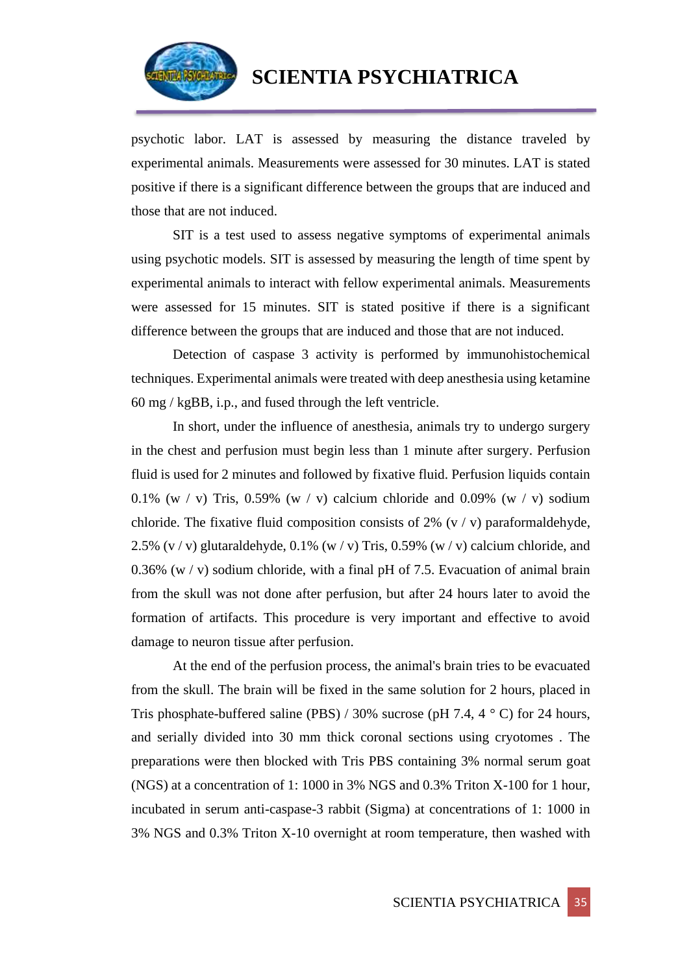

psychotic labor. LAT is assessed by measuring the distance traveled by experimental animals. Measurements were assessed for 30 minutes. LAT is stated positive if there is a significant difference between the groups that are induced and those that are not induced.

SIT is a test used to assess negative symptoms of experimental animals using psychotic models. SIT is assessed by measuring the length of time spent by experimental animals to interact with fellow experimental animals. Measurements were assessed for 15 minutes. SIT is stated positive if there is a significant difference between the groups that are induced and those that are not induced.

Detection of caspase 3 activity is performed by immunohistochemical techniques. Experimental animals were treated with deep anesthesia using ketamine 60 mg / kgBB, i.p., and fused through the left ventricle.

In short, under the influence of anesthesia, animals try to undergo surgery in the chest and perfusion must begin less than 1 minute after surgery. Perfusion fluid is used for 2 minutes and followed by fixative fluid. Perfusion liquids contain 0.1% (w / v) Tris, 0.59% (w / v) calcium chloride and 0.09% (w / v) sodium chloride. The fixative fluid composition consists of 2%  $(v / v)$  paraformaldehyde, 2.5% (v / v) glutaraldehyde,  $0.1\%$  (w / v) Tris,  $0.59\%$  (w / v) calcium chloride, and 0.36% (w / v) sodium chloride, with a final pH of 7.5. Evacuation of animal brain from the skull was not done after perfusion, but after 24 hours later to avoid the formation of artifacts. This procedure is very important and effective to avoid damage to neuron tissue after perfusion.

At the end of the perfusion process, the animal's brain tries to be evacuated from the skull. The brain will be fixed in the same solution for 2 hours, placed in Tris phosphate-buffered saline (PBS) / 30% sucrose (pH 7.4, 4  $\degree$  C) for 24 hours, and serially divided into 30 mm thick coronal sections using cryotomes . The preparations were then blocked with Tris PBS containing 3% normal serum goat (NGS) at a concentration of 1: 1000 in 3% NGS and 0.3% Triton X-100 for 1 hour, incubated in serum anti-caspase-3 rabbit (Sigma) at concentrations of 1: 1000 in 3% NGS and 0.3% Triton X-10 overnight at room temperature, then washed with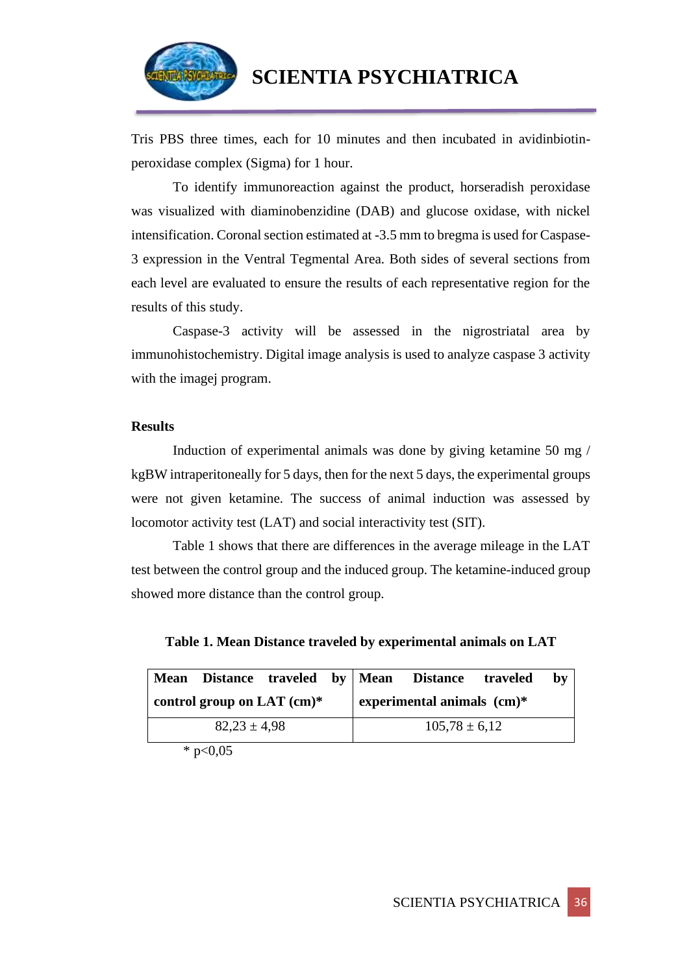

Tris PBS three times, each for 10 minutes and then incubated in avidinbiotinperoxidase complex (Sigma) for 1 hour.

To identify immunoreaction against the product, horseradish peroxidase was visualized with diaminobenzidine (DAB) and glucose oxidase, with nickel intensification. Coronal section estimated at -3.5 mm to bregma is used for Caspase-3 expression in the Ventral Tegmental Area. Both sides of several sections from each level are evaluated to ensure the results of each representative region for the results of this study.

Caspase-3 activity will be assessed in the nigrostriatal area by immunohistochemistry. Digital image analysis is used to analyze caspase 3 activity with the imagej program.

## **Results**

Induction of experimental animals was done by giving ketamine 50 mg / kgBW intraperitoneally for 5 days, then for the next 5 days, the experimental groups were not given ketamine. The success of animal induction was assessed by locomotor activity test (LAT) and social interactivity test (SIT).

Table 1 shows that there are differences in the average mileage in the LAT test between the control group and the induced group. The ketamine-induced group showed more distance than the control group.

**Table 1. Mean Distance traveled by experimental animals on LAT**

| <b>Mean</b>      |  |                              |  |                              | Distance traveled by Mean Distance traveled |  | bv |  |
|------------------|--|------------------------------|--|------------------------------|---------------------------------------------|--|----|--|
|                  |  | control group on LAT $(cm)*$ |  | experimental animals $(cm)*$ |                                             |  |    |  |
| $82.23 \pm 4.98$ |  |                              |  | $105,78 \pm 6,12$            |                                             |  |    |  |

 $*$  p<0,05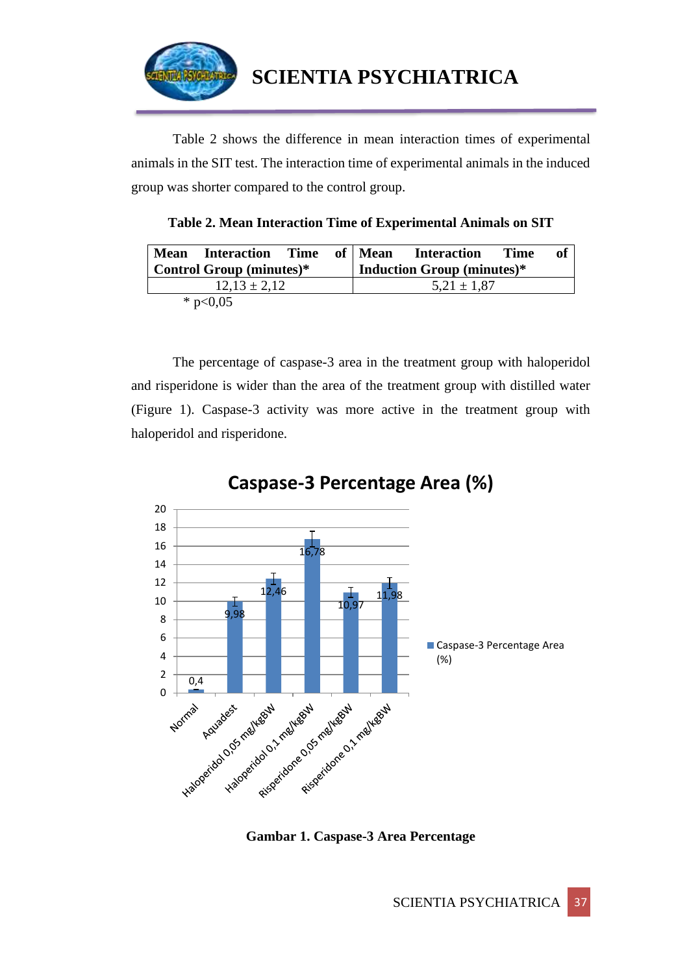

Table 2 shows the difference in mean interaction times of experimental animals in the SIT test. The interaction time of experimental animals in the induced group was shorter compared to the control group.

**Table 2. Mean Interaction Time of Experimental Animals on SIT**

|                                 | <b>Mean</b> Interaction Time |  |  | of   Mean                         | <b>Interaction</b> | <b>Time</b> | оť |
|---------------------------------|------------------------------|--|--|-----------------------------------|--------------------|-------------|----|
| <b>Control Group (minutes)*</b> |                              |  |  | <b>Induction Group (minutes)*</b> |                    |             |    |
| $12.13 \pm 2.12$                |                              |  |  | $5,21 \pm 1,87$                   |                    |             |    |
|                                 | * $p<0,05$                   |  |  |                                   |                    |             |    |

The percentage of caspase-3 area in the treatment group with haloperidol and risperidone is wider than the area of the treatment group with distilled water (Figure 1). Caspase-3 activity was more active in the treatment group with haloperidol and risperidone.



**Caspase-3 Percentage Area (%)**

**Gambar 1. Caspase-3 Area Percentage**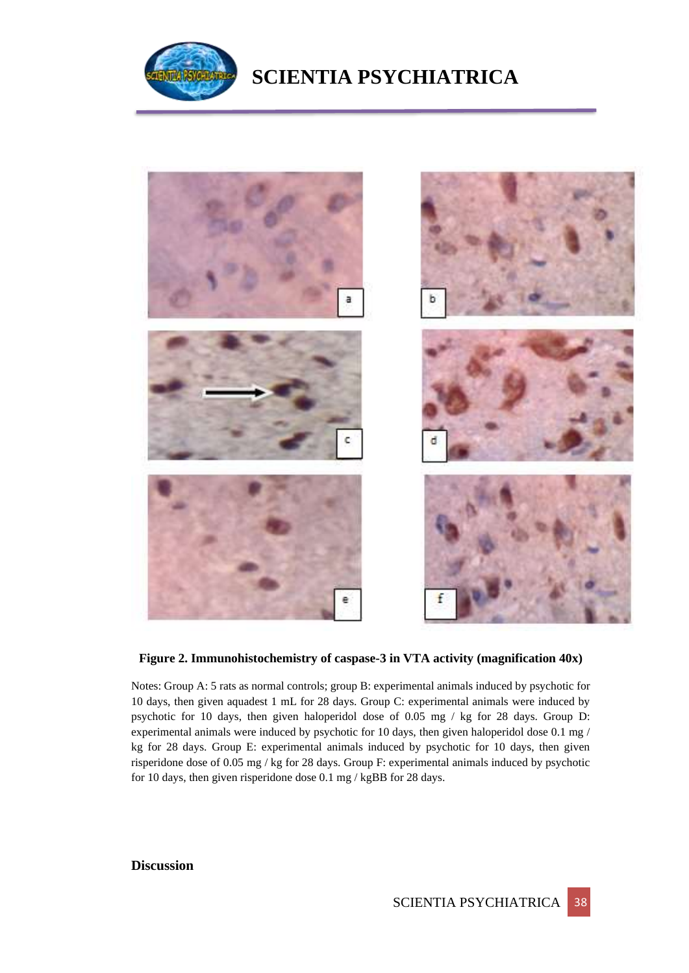

# **SCIENTIA PSYCHIATRICA**



## **Figure 2. Immunohistochemistry of caspase-3 in VTA activity (magnification 40x)**

Notes: Group A: 5 rats as normal controls; group B: experimental animals induced by psychotic for 10 days, then given aquadest 1 mL for 28 days. Group C: experimental animals were induced by psychotic for 10 days, then given haloperidol dose of 0.05 mg / kg for 28 days. Group D: experimental animals were induced by psychotic for 10 days, then given haloperidol dose 0.1 mg / kg for 28 days. Group E: experimental animals induced by psychotic for 10 days, then given risperidone dose of 0.05 mg / kg for 28 days. Group F: experimental animals induced by psychotic for 10 days, then given risperidone dose 0.1 mg / kgBB for 28 days.

## **Discussion**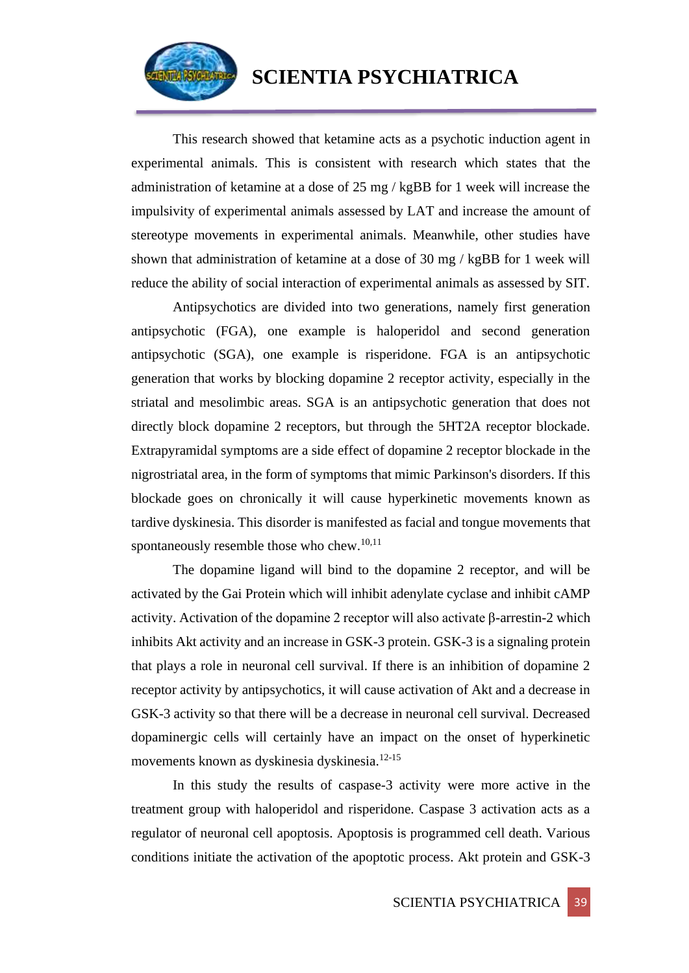

## **SCIENTIA PSYCHIATRICA**

This research showed that ketamine acts as a psychotic induction agent in experimental animals. This is consistent with research which states that the administration of ketamine at a dose of 25 mg / kgBB for 1 week will increase the impulsivity of experimental animals assessed by LAT and increase the amount of stereotype movements in experimental animals. Meanwhile, other studies have shown that administration of ketamine at a dose of 30 mg / kgBB for 1 week will reduce the ability of social interaction of experimental animals as assessed by SIT.

Antipsychotics are divided into two generations, namely first generation antipsychotic (FGA), one example is haloperidol and second generation antipsychotic (SGA), one example is risperidone. FGA is an antipsychotic generation that works by blocking dopamine 2 receptor activity, especially in the striatal and mesolimbic areas. SGA is an antipsychotic generation that does not directly block dopamine 2 receptors, but through the 5HT2A receptor blockade. Extrapyramidal symptoms are a side effect of dopamine 2 receptor blockade in the nigrostriatal area, in the form of symptoms that mimic Parkinson's disorders. If this blockade goes on chronically it will cause hyperkinetic movements known as tardive dyskinesia. This disorder is manifested as facial and tongue movements that spontaneously resemble those who chew.10,11

The dopamine ligand will bind to the dopamine 2 receptor, and will be activated by the Gai Protein which will inhibit adenylate cyclase and inhibit cAMP activity. Activation of the dopamine 2 receptor will also activate β-arrestin-2 which inhibits Akt activity and an increase in GSK-3 protein. GSK-3 is a signaling protein that plays a role in neuronal cell survival. If there is an inhibition of dopamine 2 receptor activity by antipsychotics, it will cause activation of Akt and a decrease in GSK-3 activity so that there will be a decrease in neuronal cell survival. Decreased dopaminergic cells will certainly have an impact on the onset of hyperkinetic movements known as dyskinesia dyskinesia.12-15

In this study the results of caspase-3 activity were more active in the treatment group with haloperidol and risperidone. Caspase 3 activation acts as a regulator of neuronal cell apoptosis. Apoptosis is programmed cell death. Various conditions initiate the activation of the apoptotic process. Akt protein and GSK-3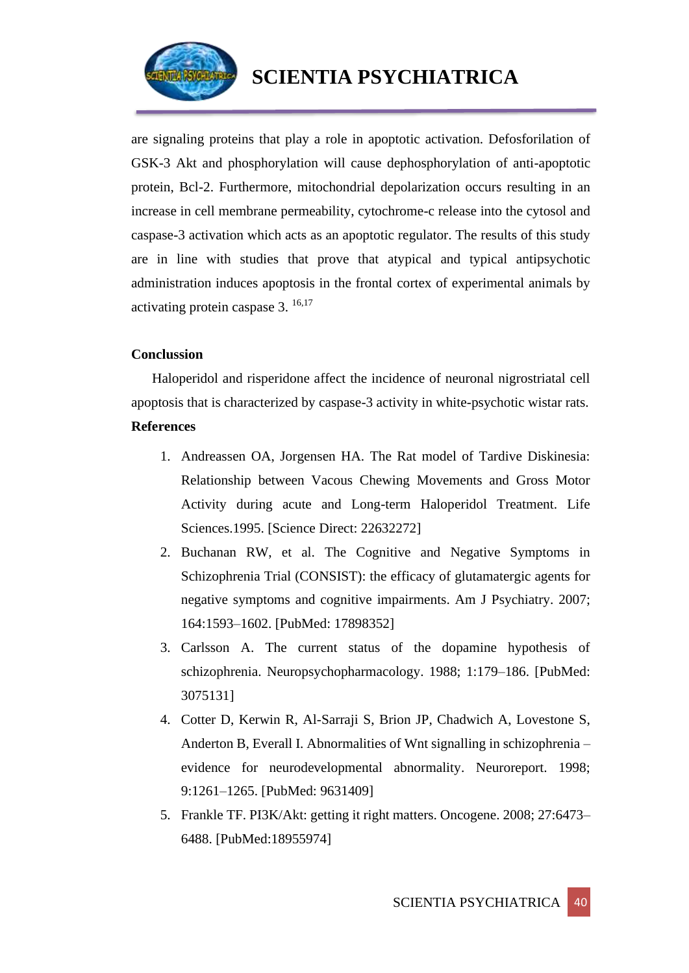

are signaling proteins that play a role in apoptotic activation. Defosforilation of GSK-3 Akt and phosphorylation will cause dephosphorylation of anti-apoptotic protein, Bcl-2. Furthermore, mitochondrial depolarization occurs resulting in an increase in cell membrane permeability, cytochrome-c release into the cytosol and caspase-3 activation which acts as an apoptotic regulator. The results of this study are in line with studies that prove that atypical and typical antipsychotic administration induces apoptosis in the frontal cortex of experimental animals by activating protein caspase 3. 16,17

## **Conclussion**

Haloperidol and risperidone affect the incidence of neuronal nigrostriatal cell apoptosis that is characterized by caspase-3 activity in white-psychotic wistar rats.

## **References**

- 1. Andreassen OA, Jorgensen HA. The Rat model of Tardive Diskinesia: Relationship between Vacous Chewing Movements and Gross Motor Activity during acute and Long-term Haloperidol Treatment. Life Sciences.1995. [Science Direct: 22632272]
- 2. Buchanan RW, et al. The Cognitive and Negative Symptoms in Schizophrenia Trial (CONSIST): the efficacy of glutamatergic agents for negative symptoms and cognitive impairments. Am J Psychiatry. 2007; 164:1593–1602. [PubMed: 17898352]
- 3. Carlsson A. The current status of the dopamine hypothesis of schizophrenia. Neuropsychopharmacology. 1988; 1:179–186. [PubMed: 3075131]
- 4. Cotter D, Kerwin R, Al-Sarraji S, Brion JP, Chadwich A, Lovestone S, Anderton B, Everall I. Abnormalities of Wnt signalling in schizophrenia – evidence for neurodevelopmental abnormality. Neuroreport. 1998; 9:1261–1265. [PubMed: 9631409]
- 5. Frankle TF. PI3K/Akt: getting it right matters. Oncogene. 2008; 27:6473– 6488. [PubMed:18955974]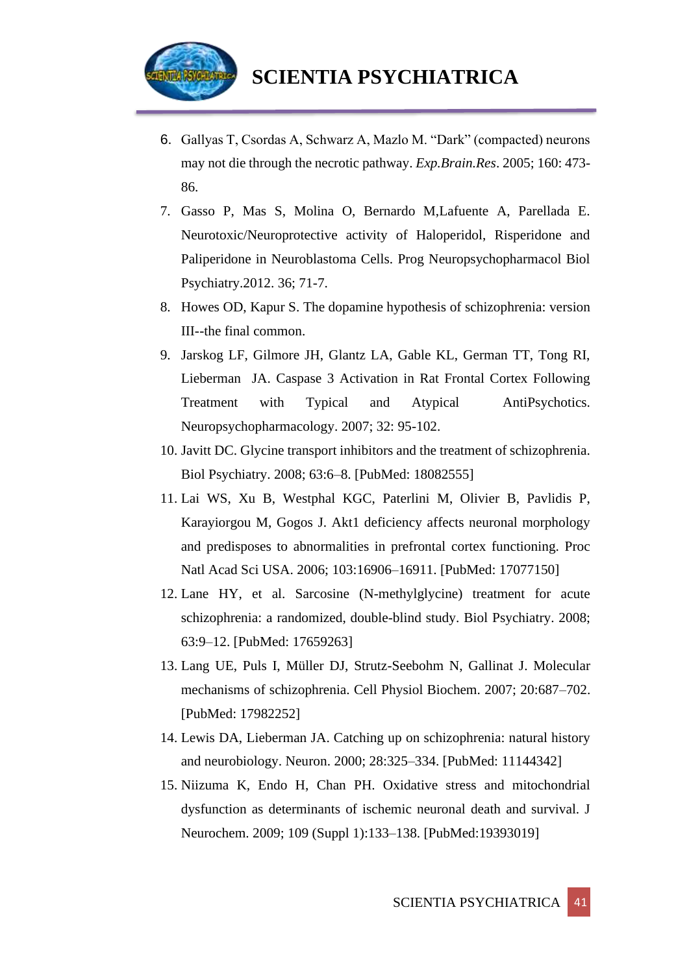

- 6. Gallyas T, Csordas A, Schwarz A, Mazlo M. "Dark" (compacted) neurons may not die through the necrotic pathway. *Exp.Brain.Res*. 2005; 160: 473- 86.
- 7. Gasso P, Mas S, Molina O, Bernardo M,Lafuente A, Parellada E. Neurotoxic/Neuroprotective activity of Haloperidol, Risperidone and Paliperidone in Neuroblastoma Cells. Prog Neuropsychopharmacol Biol Psychiatry.2012. 36; 71-7.
- 8. Howes OD, Kapur S. The dopamine hypothesis of schizophrenia: version III--the final common.
- 9. Jarskog LF, Gilmore JH, Glantz LA, Gable KL, German TT, Tong RI, Lieberman JA. Caspase 3 Activation in Rat Frontal Cortex Following Treatment with Typical and Atypical AntiPsychotics. Neuropsychopharmacology. 2007; 32: 95-102.
- 10. Javitt DC. Glycine transport inhibitors and the treatment of schizophrenia. Biol Psychiatry. 2008; 63:6–8. [PubMed: 18082555]
- 11. Lai WS, Xu B, Westphal KGC, Paterlini M, Olivier B, Pavlidis P, Karayiorgou M, Gogos J. Akt1 deficiency affects neuronal morphology and predisposes to abnormalities in prefrontal cortex functioning. Proc Natl Acad Sci USA. 2006; 103:16906–16911. [PubMed: 17077150]
- 12. Lane HY, et al. Sarcosine (N-methylglycine) treatment for acute schizophrenia: a randomized, double-blind study. Biol Psychiatry. 2008; 63:9–12. [PubMed: 17659263]
- 13. Lang UE, Puls I, Müller DJ, Strutz-Seebohm N, Gallinat J. Molecular mechanisms of schizophrenia. Cell Physiol Biochem. 2007; 20:687–702. [PubMed: 17982252]
- 14. Lewis DA, Lieberman JA. Catching up on schizophrenia: natural history and neurobiology. Neuron. 2000; 28:325–334. [PubMed: 11144342]
- 15. Niizuma K, Endo H, Chan PH. Oxidative stress and mitochondrial dysfunction as determinants of ischemic neuronal death and survival. J Neurochem. 2009; 109 (Suppl 1):133–138. [PubMed:19393019]